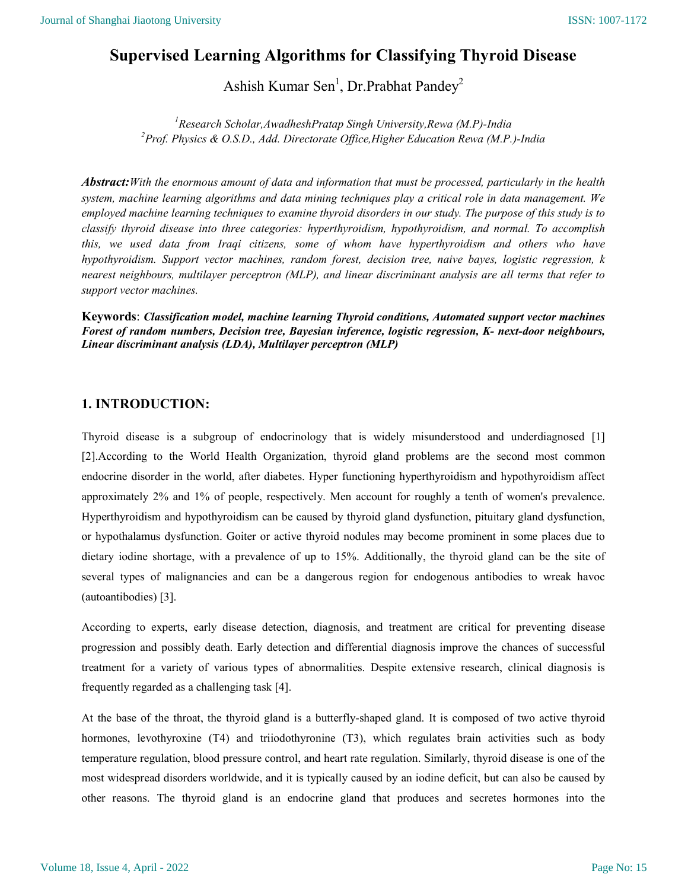# Supervised Learning Algorithms for Classifying Thyroid Disease

Ashish Kumar Sen<sup>1</sup>, Dr.Prabhat Pandey<sup>2</sup>

<sup>1</sup>Research Scholar, AwadheshPratap Singh University, Rewa (M.P)-India <sup>2</sup>Prof. Physics & O.S.D., Add. Directorate Office, Higher Education Rewa (M.P.)-India

Abstract: With the enormous amount of data and information that must be processed, particularly in the health system, machine learning algorithms and data mining techniques play a critical role in data management. We employed machine learning techniques to examine thyroid disorders in our study. The purpose of this study is to classify thyroid disease into three categories: hyperthyroidism, hypothyroidism, and normal. To accomplish this, we used data from Iraqi citizens, some of whom have hyperthyroidism and others who have hypothyroidism. Support vector machines, random forest, decision tree, naive bayes, logistic regression, k nearest neighbours, multilayer perceptron (MLP), and linear discriminant analysis are all terms that refer to support vector machines.

Keywords: Classification model, machine learning Thyroid conditions, Automated support vector machines Forest of random numbers, Decision tree, Bayesian inference, logistic regression, K- next-door neighbours, Linear discriminant analysis (LDA), Multilayer perceptron (MLP)

# 1. INTRODUCTION:

Thyroid disease is a subgroup of endocrinology that is widely misunderstood and underdiagnosed [1] [2].According to the World Health Organization, thyroid gland problems are the second most common endocrine disorder in the world, after diabetes. Hyper functioning hyperthyroidism and hypothyroidism affect approximately 2% and 1% of people, respectively. Men account for roughly a tenth of women's prevalence. Hyperthyroidism and hypothyroidism can be caused by thyroid gland dysfunction, pituitary gland dysfunction, or hypothalamus dysfunction. Goiter or active thyroid nodules may become prominent in some places due to dietary iodine shortage, with a prevalence of up to 15%. Additionally, the thyroid gland can be the site of several types of malignancies and can be a dangerous region for endogenous antibodies to wreak havoc (autoantibodies) [3].

According to experts, early disease detection, diagnosis, and treatment are critical for preventing disease progression and possibly death. Early detection and differential diagnosis improve the chances of successful treatment for a variety of various types of abnormalities. Despite extensive research, clinical diagnosis is frequently regarded as a challenging task [4].

At the base of the throat, the thyroid gland is a butterfly-shaped gland. It is composed of two active thyroid hormones, levothyroxine (T4) and triiodothyronine (T3), which regulates brain activities such as body temperature regulation, blood pressure control, and heart rate regulation. Similarly, thyroid disease is one of the most widespread disorders worldwide, and it is typically caused by an iodine deficit, but can also be caused by other reasons. The thyroid gland is an endocrine gland that produces and secretes hormones into the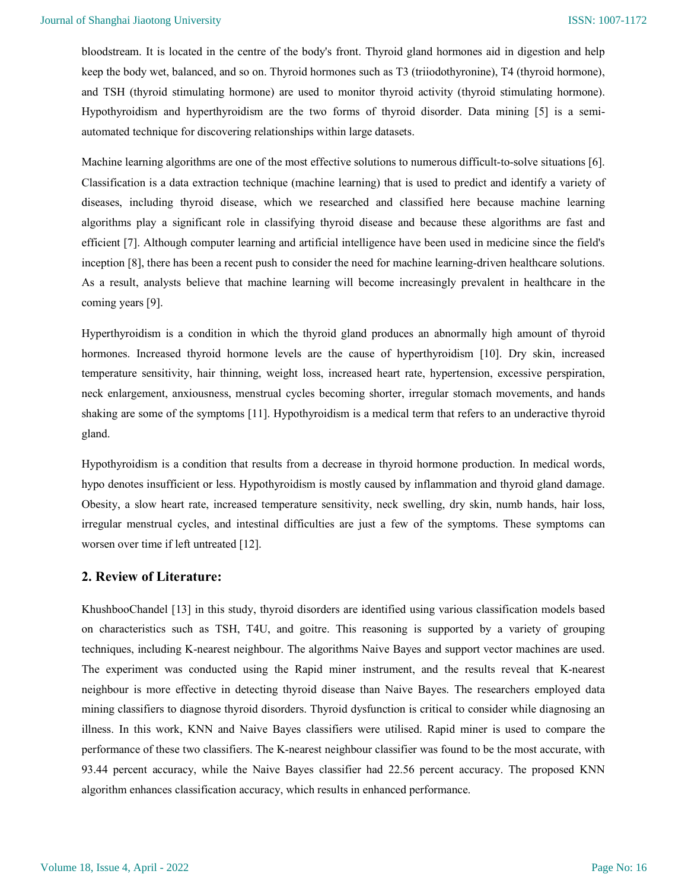bloodstream. It is located in the centre of the body's front. Thyroid gland hormones aid in digestion and help keep the body wet, balanced, and so on. Thyroid hormones such as T3 (triiodothyronine), T4 (thyroid hormone), and TSH (thyroid stimulating hormone) are used to monitor thyroid activity (thyroid stimulating hormone). Hypothyroidism and hyperthyroidism are the two forms of thyroid disorder. Data mining [5] is a semiautomated technique for discovering relationships within large datasets.

Machine learning algorithms are one of the most effective solutions to numerous difficult-to-solve situations [6]. Classification is a data extraction technique (machine learning) that is used to predict and identify a variety of diseases, including thyroid disease, which we researched and classified here because machine learning algorithms play a significant role in classifying thyroid disease and because these algorithms are fast and efficient [7]. Although computer learning and artificial intelligence have been used in medicine since the field's inception [8], there has been a recent push to consider the need for machine learning-driven healthcare solutions. As a result, analysts believe that machine learning will become increasingly prevalent in healthcare in the coming years [9].

Hyperthyroidism is a condition in which the thyroid gland produces an abnormally high amount of thyroid hormones. Increased thyroid hormone levels are the cause of hyperthyroidism [10]. Dry skin, increased temperature sensitivity, hair thinning, weight loss, increased heart rate, hypertension, excessive perspiration, neck enlargement, anxiousness, menstrual cycles becoming shorter, irregular stomach movements, and hands shaking are some of the symptoms [11]. Hypothyroidism is a medical term that refers to an underactive thyroid gland.

Hypothyroidism is a condition that results from a decrease in thyroid hormone production. In medical words, hypo denotes insufficient or less. Hypothyroidism is mostly caused by inflammation and thyroid gland damage. Obesity, a slow heart rate, increased temperature sensitivity, neck swelling, dry skin, numb hands, hair loss, irregular menstrual cycles, and intestinal difficulties are just a few of the symptoms. These symptoms can worsen over time if left untreated [12].

## 2. Review of Literature:

KhushbooChandel [13] in this study, thyroid disorders are identified using various classification models based on characteristics such as TSH, T4U, and goitre. This reasoning is supported by a variety of grouping techniques, including K-nearest neighbour. The algorithms Naive Bayes and support vector machines are used. The experiment was conducted using the Rapid miner instrument, and the results reveal that K-nearest neighbour is more effective in detecting thyroid disease than Naive Bayes. The researchers employed data mining classifiers to diagnose thyroid disorders. Thyroid dysfunction is critical to consider while diagnosing an illness. In this work, KNN and Naive Bayes classifiers were utilised. Rapid miner is used to compare the performance of these two classifiers. The K-nearest neighbour classifier was found to be the most accurate, with 93.44 percent accuracy, while the Naive Bayes classifier had 22.56 percent accuracy. The proposed KNN algorithm enhances classification accuracy, which results in enhanced performance.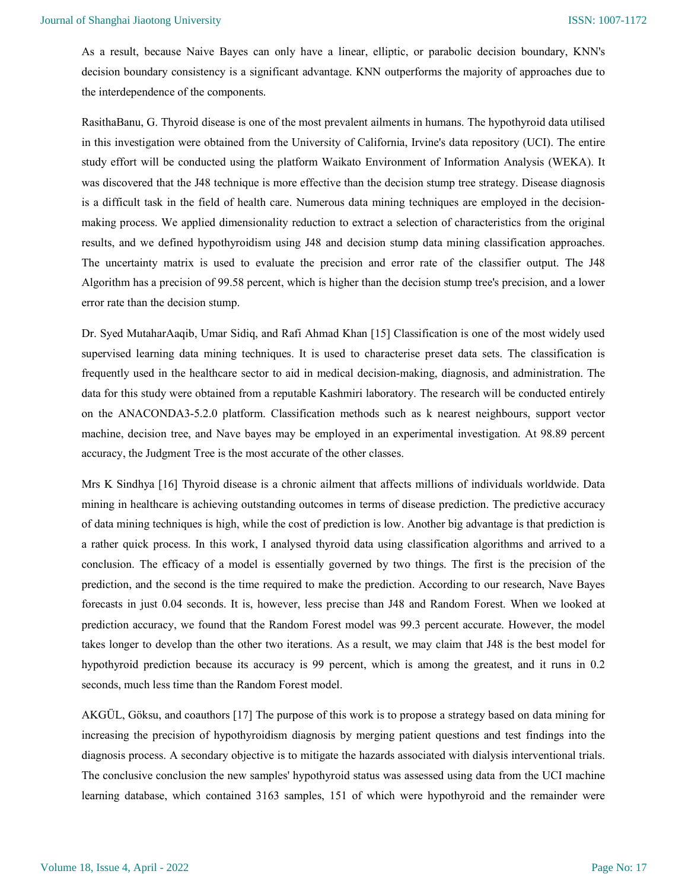As a result, because Naive Bayes can only have a linear, elliptic, or parabolic decision boundary, KNN's decision boundary consistency is a significant advantage. KNN outperforms the majority of approaches due to the interdependence of the components.

RasithaBanu, G. Thyroid disease is one of the most prevalent ailments in humans. The hypothyroid data utilised in this investigation were obtained from the University of California, Irvine's data repository (UCI). The entire study effort will be conducted using the platform Waikato Environment of Information Analysis (WEKA). It was discovered that the J48 technique is more effective than the decision stump tree strategy. Disease diagnosis is a difficult task in the field of health care. Numerous data mining techniques are employed in the decisionmaking process. We applied dimensionality reduction to extract a selection of characteristics from the original results, and we defined hypothyroidism using J48 and decision stump data mining classification approaches. The uncertainty matrix is used to evaluate the precision and error rate of the classifier output. The J48 Algorithm has a precision of 99.58 percent, which is higher than the decision stump tree's precision, and a lower error rate than the decision stump.

Dr. Syed MutaharAaqib, Umar Sidiq, and Rafi Ahmad Khan [15] Classification is one of the most widely used supervised learning data mining techniques. It is used to characterise preset data sets. The classification is frequently used in the healthcare sector to aid in medical decision-making, diagnosis, and administration. The data for this study were obtained from a reputable Kashmiri laboratory. The research will be conducted entirely on the ANACONDA3-5.2.0 platform. Classification methods such as k nearest neighbours, support vector machine, decision tree, and Nave bayes may be employed in an experimental investigation. At 98.89 percent accuracy, the Judgment Tree is the most accurate of the other classes.

Mrs K Sindhya [16] Thyroid disease is a chronic ailment that affects millions of individuals worldwide. Data mining in healthcare is achieving outstanding outcomes in terms of disease prediction. The predictive accuracy of data mining techniques is high, while the cost of prediction is low. Another big advantage is that prediction is a rather quick process. In this work, I analysed thyroid data using classification algorithms and arrived to a conclusion. The efficacy of a model is essentially governed by two things. The first is the precision of the prediction, and the second is the time required to make the prediction. According to our research, Nave Bayes forecasts in just 0.04 seconds. It is, however, less precise than J48 and Random Forest. When we looked at prediction accuracy, we found that the Random Forest model was 99.3 percent accurate. However, the model takes longer to develop than the other two iterations. As a result, we may claim that J48 is the best model for hypothyroid prediction because its accuracy is 99 percent, which is among the greatest, and it runs in 0.2 seconds, much less time than the Random Forest model.

AKGÜL, Göksu, and coauthors [17] The purpose of this work is to propose a strategy based on data mining for increasing the precision of hypothyroidism diagnosis by merging patient questions and test findings into the diagnosis process. A secondary objective is to mitigate the hazards associated with dialysis interventional trials. The conclusive conclusion the new samples' hypothyroid status was assessed using data from the UCI machine learning database, which contained 3163 samples, 151 of which were hypothyroid and the remainder were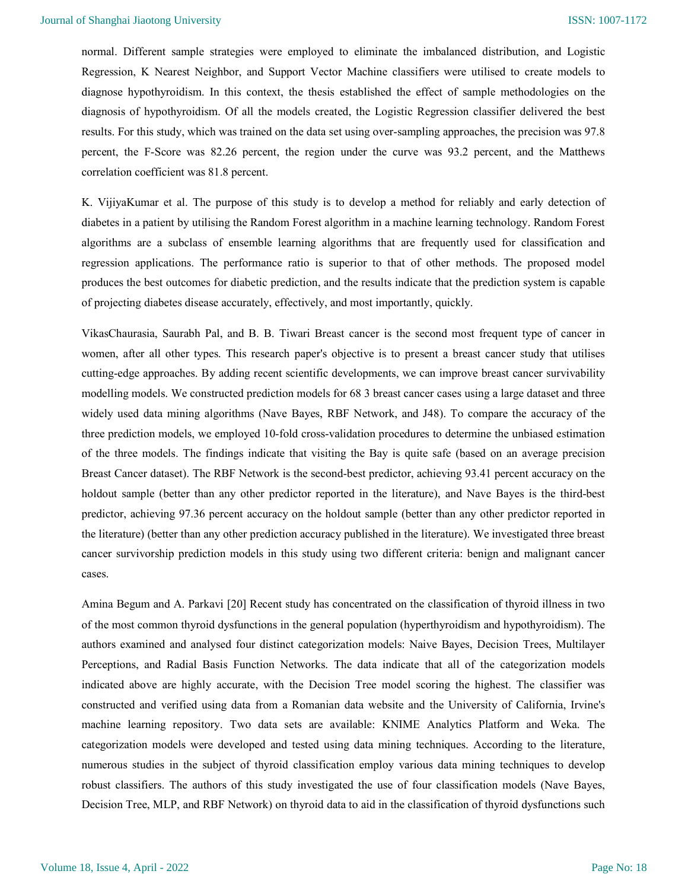normal. Different sample strategies were employed to eliminate the imbalanced distribution, and Logistic Regression, K Nearest Neighbor, and Support Vector Machine classifiers were utilised to create models to diagnose hypothyroidism. In this context, the thesis established the effect of sample methodologies on the diagnosis of hypothyroidism. Of all the models created, the Logistic Regression classifier delivered the best results. For this study, which was trained on the data set using over-sampling approaches, the precision was 97.8 percent, the F-Score was 82.26 percent, the region under the curve was 93.2 percent, and the Matthews correlation coefficient was 81.8 percent.

K. VijiyaKumar et al. The purpose of this study is to develop a method for reliably and early detection of diabetes in a patient by utilising the Random Forest algorithm in a machine learning technology. Random Forest algorithms are a subclass of ensemble learning algorithms that are frequently used for classification and regression applications. The performance ratio is superior to that of other methods. The proposed model produces the best outcomes for diabetic prediction, and the results indicate that the prediction system is capable of projecting diabetes disease accurately, effectively, and most importantly, quickly.

VikasChaurasia, Saurabh Pal, and B. B. Tiwari Breast cancer is the second most frequent type of cancer in women, after all other types. This research paper's objective is to present a breast cancer study that utilises cutting-edge approaches. By adding recent scientific developments, we can improve breast cancer survivability modelling models. We constructed prediction models for 68 3 breast cancer cases using a large dataset and three widely used data mining algorithms (Nave Bayes, RBF Network, and J48). To compare the accuracy of the three prediction models, we employed 10-fold cross-validation procedures to determine the unbiased estimation of the three models. The findings indicate that visiting the Bay is quite safe (based on an average precision Breast Cancer dataset). The RBF Network is the second-best predictor, achieving 93.41 percent accuracy on the holdout sample (better than any other predictor reported in the literature), and Nave Bayes is the third-best predictor, achieving 97.36 percent accuracy on the holdout sample (better than any other predictor reported in the literature) (better than any other prediction accuracy published in the literature). We investigated three breast cancer survivorship prediction models in this study using two different criteria: benign and malignant cancer cases.

Amina Begum and A. Parkavi [20] Recent study has concentrated on the classification of thyroid illness in two of the most common thyroid dysfunctions in the general population (hyperthyroidism and hypothyroidism). The authors examined and analysed four distinct categorization models: Naive Bayes, Decision Trees, Multilayer Perceptions, and Radial Basis Function Networks. The data indicate that all of the categorization models indicated above are highly accurate, with the Decision Tree model scoring the highest. The classifier was constructed and verified using data from a Romanian data website and the University of California, Irvine's machine learning repository. Two data sets are available: KNIME Analytics Platform and Weka. The categorization models were developed and tested using data mining techniques. According to the literature, numerous studies in the subject of thyroid classification employ various data mining techniques to develop robust classifiers. The authors of this study investigated the use of four classification models (Nave Bayes, Decision Tree, MLP, and RBF Network) on thyroid data to aid in the classification of thyroid dysfunctions such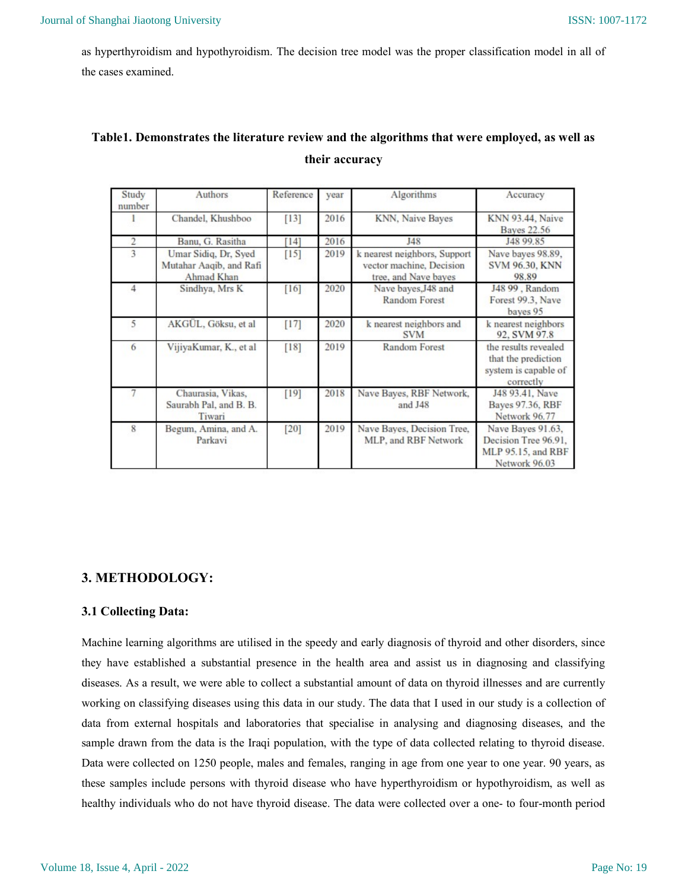as hyperthyroidism and hypothyroidism. The decision tree model was the proper classification model in all of the cases examined.

# Table1. Demonstrates the literature review and the algorithms that were employed, as well as their accuracy

| Study<br>number | Authors                                                       | Reference | vear | Algorithms                                                                       | Accuracy                                                                         |
|-----------------|---------------------------------------------------------------|-----------|------|----------------------------------------------------------------------------------|----------------------------------------------------------------------------------|
|                 | Chandel, Khushboo                                             | $[13]$    | 2016 | KNN, Naive Bayes                                                                 | <b>KNN 93.44, Naive</b><br><b>Bayes 22.56</b>                                    |
| $\overline{2}$  | Banu, G. Rasitha                                              | 14        | 2016 | J48                                                                              | J48 99.85                                                                        |
| 3               | Umar Sidiq, Dr. Syed<br>Mutahar Aaqib, and Rafi<br>Ahmad Khan | $[15]$    | 2019 | k nearest neighbors, Support<br>vector machine, Decision<br>tree, and Nave bayes | Nave bayes 98.89,<br><b>SVM 96.30, KNN</b><br>98.89                              |
| 4               | Sindhya, Mrs K                                                | $[16]$    | 2020 | Nave bayes, J48 and<br><b>Random Forest</b>                                      | J48 99, Random<br>Forest 99.3, Nave<br>bayes 95                                  |
| 5               | AKGÜL, Göksu, et al                                           | $[17]$    | 2020 | k nearest neighbors and<br><b>SVM</b>                                            | k nearest neighbors<br>92, SVM 97.8                                              |
| 6               | VijiyaKumar, K., et al                                        | $[18]$    | 2019 | <b>Random Forest</b>                                                             | the results revealed<br>that the prediction<br>system is capable of<br>correctly |
| 7               | Chaurasia, Vikas,<br>Saurabh Pal, and B. B.<br>Tiwari         | $[19]$    | 2018 | Nave Bayes, RBF Network,<br>and J48                                              | J48 93.41, Nave<br>Bayes 97.36, RBF<br>Network 96.77                             |
| 8               | Begum, Amina, and A.<br>Parkavi                               | $[20]$    | 2019 | Nave Bayes, Decision Tree,<br>MLP, and RBF Network                               | Nave Bayes 91.63.<br>Decision Tree 96.91.<br>MLP 95.15, and RBF<br>Network 96.03 |

# 3. METHODOLOGY:

# 3.1 Collecting Data:

Machine learning algorithms are utilised in the speedy and early diagnosis of thyroid and other disorders, since they have established a substantial presence in the health area and assist us in diagnosing and classifying diseases. As a result, we were able to collect a substantial amount of data on thyroid illnesses and are currently working on classifying diseases using this data in our study. The data that I used in our study is a collection of data from external hospitals and laboratories that specialise in analysing and diagnosing diseases, and the sample drawn from the data is the Iraqi population, with the type of data collected relating to thyroid disease. Data were collected on 1250 people, males and females, ranging in age from one year to one year. 90 years, as these samples include persons with thyroid disease who have hyperthyroidism or hypothyroidism, as well as healthy individuals who do not have thyroid disease. The data were collected over a one- to four-month period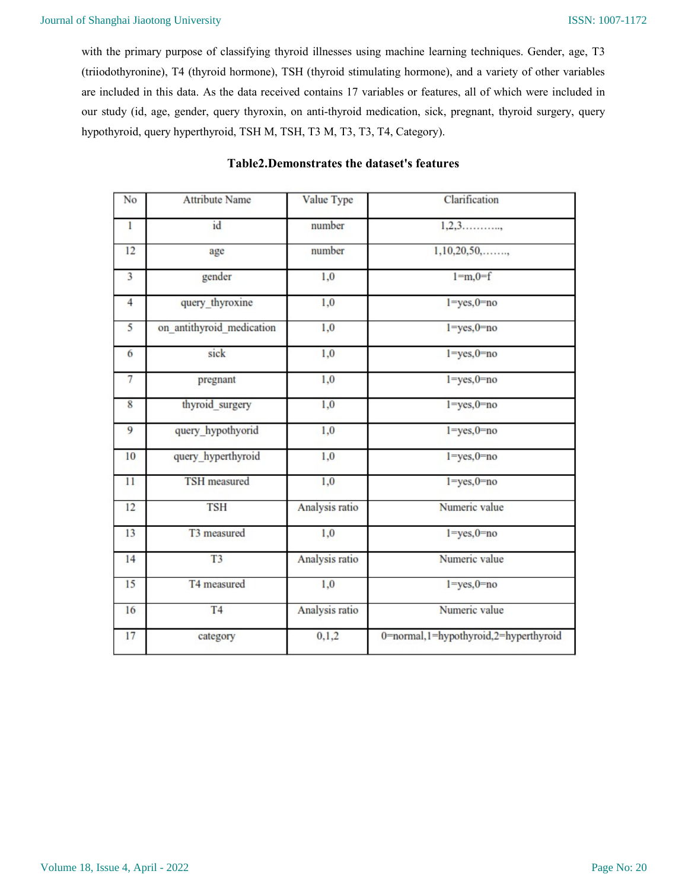with the primary purpose of classifying thyroid illnesses using machine learning techniques. Gender, age, T3 (triiodothyronine), T4 (thyroid hormone), TSH (thyroid stimulating hormone), and a variety of other variables are included in this data. As the data received contains 17 variables or features, all of which were included in our study (id, age, gender, query thyroxin, on anti-thyroid medication, sick, pregnant, thyroid surgery, query hypothyroid, query hyperthyroid, TSH M, TSH, T3 M, T3, T3, T4, Category).

| No             | <b>Attribute Name</b>     | Value Type     | Clarification                         |
|----------------|---------------------------|----------------|---------------------------------------|
| $\mathbf{1}$   | id                        | number         | $1, 2, 3, \ldots,$                    |
| 12             | age                       | number         | 1,10,20,50,                           |
| 3              | gender                    | 1,0            | $1 = m, 0 = f$                        |
| $\overline{4}$ | query thyroxine           | 1,0            | $l = yes, 0 = no$                     |
| 5              | on antithyroid medication | 1,0            | $1 = yes, 0 = no$                     |
| 6              | sick                      | 1,0            | $1 = yes, 0 = no$                     |
| $\overline{7}$ | pregnant                  | 1,0            | $l = yes, 0 = no$                     |
| 8              | thyroid_surgery           | 1,0            | $1 = yes, 0 = no$                     |
| 9              | query_hypothyorid         | 1,0            | $l = yes, 0 = no$                     |
| 10             | query_hyperthyroid        | 1,0            | $l = yes, 0 = no$                     |
| 11             | TSH measured              | 1,0            | $1 = yes, 0 = no$                     |
| 12             | <b>TSH</b>                | Analysis ratio | Numeric value                         |
| 13             | T3 measured               | 1,0            | $l = yes, 0 = no$                     |
| 14             | T <sub>3</sub>            | Analysis ratio | Numeric value                         |
| 15             | T4 measured               | 1,0            | $l = yes, 0 = no$                     |
| 16             | T <sub>4</sub>            | Analysis ratio | Numeric value                         |
| 17             | category                  | 0,1,2          | 0=normal,1=hypothyroid,2=hyperthyroid |
|                |                           |                |                                       |

# Table2.Demonstrates the dataset's features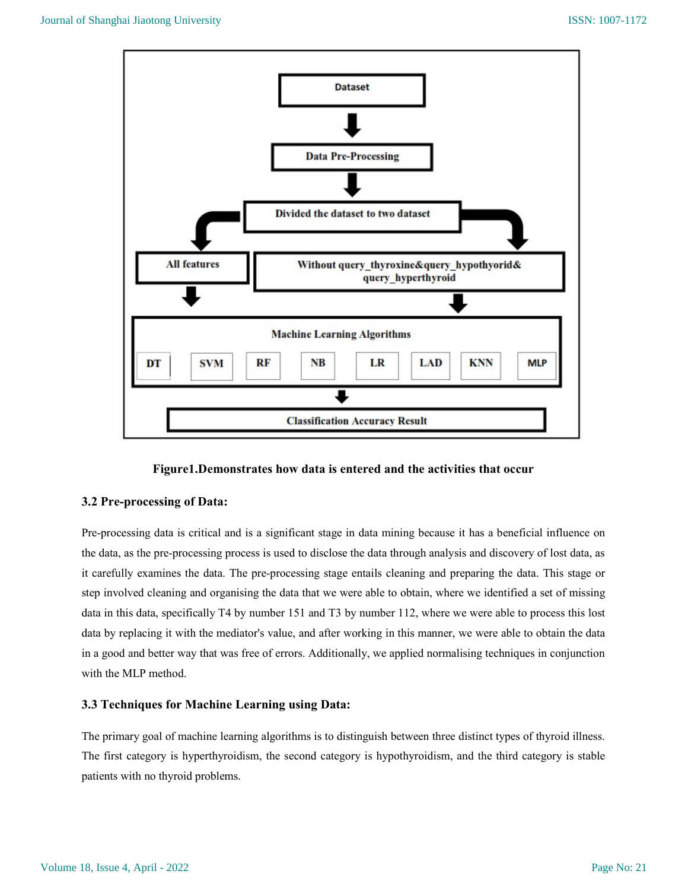



# 3.2 Pre-processing of Data:

Pre-processing data is critical and is a significant stage in data mining because it has a beneficial influence on the data, as the pre-processing process is used to disclose the data through analysis and discovery of lost data, as it carefully examines the data. The pre-processing stage entails cleaning and preparing the data. This stage or step involved cleaning and organising the data that we were able to obtain, where we identified a set of missing data in this data, specifically T4 by number 151 and T3 by number 112, where we were able to process this lost data by replacing it with the mediator's value, and after working in this manner, we were able to obtain the data in a good and better way that was free of errors. Additionally, we applied normalising techniques in conjunction with the MLP method.

# 3.3 Techniques for Machine Learning using Data:

The primary goal of machine learning algorithms is to distinguish between three distinct types of thyroid illness. The first category is hyperthyroidism, the second category is hypothyroidism, and the third category is stable patients with no thyroid problems.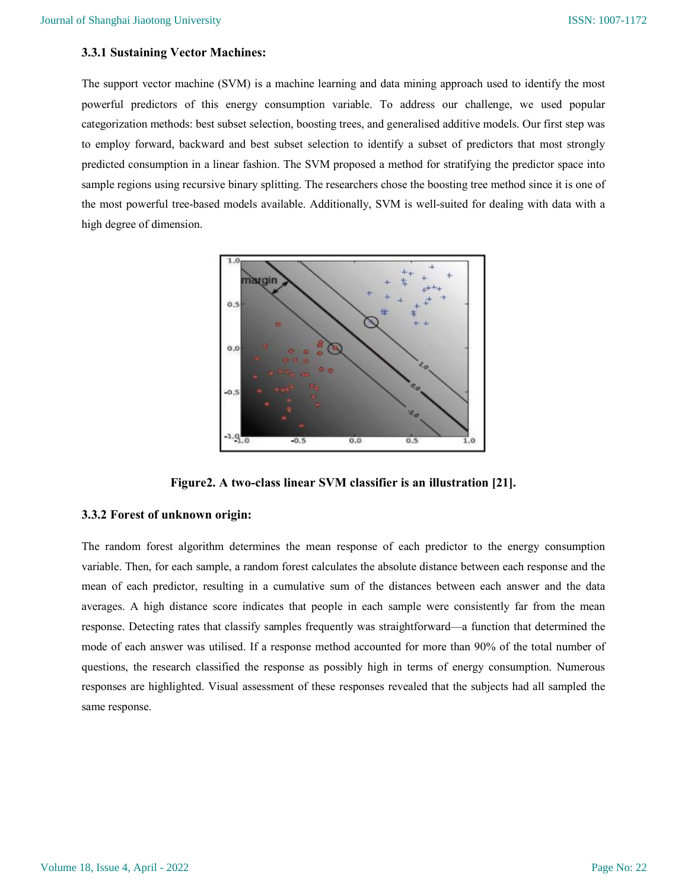### 3.3.1 Sustaining Vector Machines:

The support vector machine (SVM) is a machine learning and data mining approach used to identify the most powerful predictors of this energy consumption variable. To address our challenge, we used popular categorization methods: best subset selection, boosting trees, and generalised additive models. Our first step was to employ forward, backward and best subset selection to identify a subset of predictors that most strongly predicted consumption in a linear fashion. The SVM proposed a method for stratifying the predictor space into sample regions using recursive binary splitting. The researchers chose the boosting tree method since it is one of the most powerful tree-based models available. Additionally, SVM is well-suited for dealing with data with a high degree of dimension.



Figure2. A two-class linear SVM classifier is an illustration [21].

#### 3.3.2 Forest of unknown origin:

The random forest algorithm determines the mean response of each predictor to the energy consumption variable. Then, for each sample, a random forest calculates the absolute distance between each response and the mean of each predictor, resulting in a cumulative sum of the distances between each answer and the data averages. A high distance score indicates that people in each sample were consistently far from the mean response. Detecting rates that classify samples frequently was straightforward—a function that determined the mode of each answer was utilised. If a response method accounted for more than 90% of the total number of questions, the research classified the response as possibly high in terms of energy consumption. Numerous responses are highlighted. Visual assessment of these responses revealed that the subjects had all sampled the same response.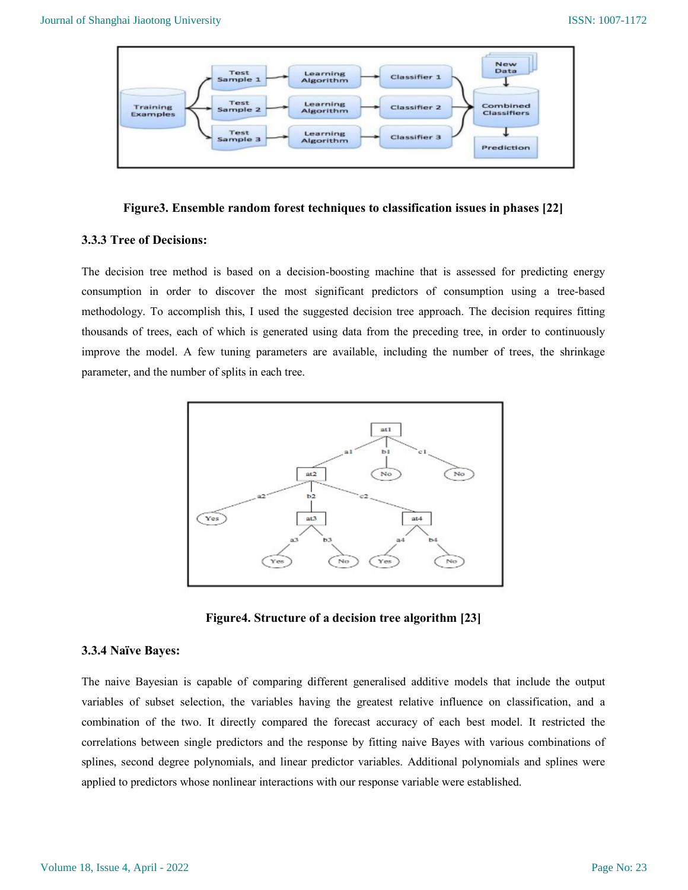

#### Figure3. Ensemble random forest techniques to classification issues in phases [22]

#### 3.3.3 Tree of Decisions:

The decision tree method is based on a decision-boosting machine that is assessed for predicting energy consumption in order to discover the most significant predictors of consumption using a tree-based methodology. To accomplish this, I used the suggested decision tree approach. The decision requires fitting thousands of trees, each of which is generated using data from the preceding tree, in order to continuously improve the model. A few tuning parameters are available, including the number of trees, the shrinkage parameter, and the number of splits in each tree.



Figure4. Structure of a decision tree algorithm [23]

#### 3.3.4 Naïve Bayes:

The naive Bayesian is capable of comparing different generalised additive models that include the output variables of subset selection, the variables having the greatest relative influence on classification, and a combination of the two. It directly compared the forecast accuracy of each best model. It restricted the correlations between single predictors and the response by fitting naive Bayes with various combinations of splines, second degree polynomials, and linear predictor variables. Additional polynomials and splines were applied to predictors whose nonlinear interactions with our response variable were established.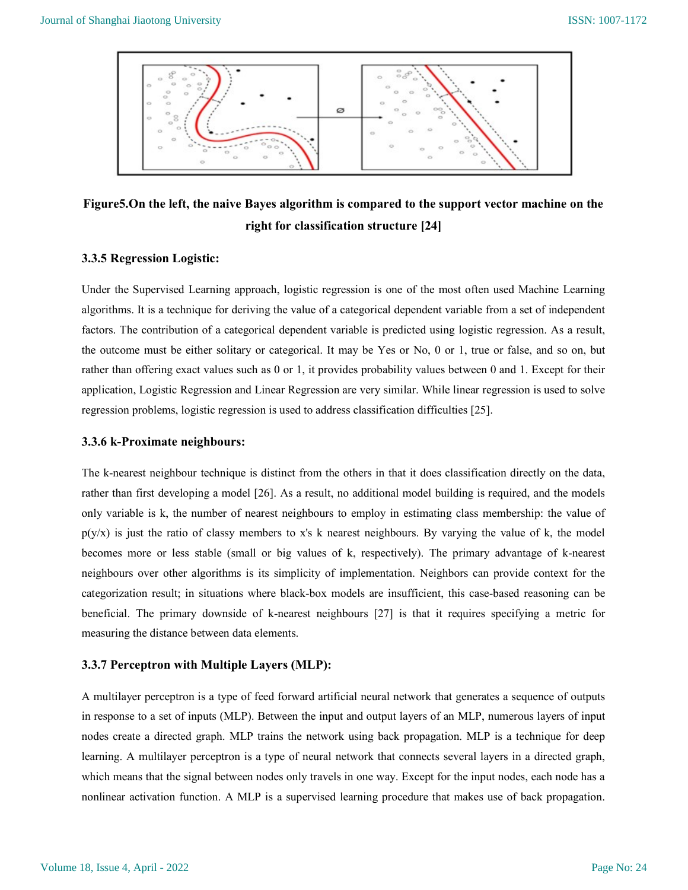

Figure5.On the left, the naive Bayes algorithm is compared to the support vector machine on the right for classification structure [24]

#### 3.3.5 Regression Logistic:

Under the Supervised Learning approach, logistic regression is one of the most often used Machine Learning algorithms. It is a technique for deriving the value of a categorical dependent variable from a set of independent factors. The contribution of a categorical dependent variable is predicted using logistic regression. As a result, the outcome must be either solitary or categorical. It may be Yes or No, 0 or 1, true or false, and so on, but rather than offering exact values such as 0 or 1, it provides probability values between 0 and 1. Except for their application, Logistic Regression and Linear Regression are very similar. While linear regression is used to solve regression problems, logistic regression is used to address classification difficulties [25].

#### 3.3.6 k-Proximate neighbours:

The k-nearest neighbour technique is distinct from the others in that it does classification directly on the data, rather than first developing a model [26]. As a result, no additional model building is required, and the models only variable is k, the number of nearest neighbours to employ in estimating class membership: the value of  $p(y/x)$  is just the ratio of classy members to x's k nearest neighbours. By varying the value of k, the model becomes more or less stable (small or big values of k, respectively). The primary advantage of k-nearest neighbours over other algorithms is its simplicity of implementation. Neighbors can provide context for the categorization result; in situations where black-box models are insufficient, this case-based reasoning can be beneficial. The primary downside of k-nearest neighbours [27] is that it requires specifying a metric for measuring the distance between data elements.

#### 3.3.7 Perceptron with Multiple Layers (MLP):

A multilayer perceptron is a type of feed forward artificial neural network that generates a sequence of outputs in response to a set of inputs (MLP). Between the input and output layers of an MLP, numerous layers of input nodes create a directed graph. MLP trains the network using back propagation. MLP is a technique for deep learning. A multilayer perceptron is a type of neural network that connects several layers in a directed graph, which means that the signal between nodes only travels in one way. Except for the input nodes, each node has a nonlinear activation function. A MLP is a supervised learning procedure that makes use of back propagation.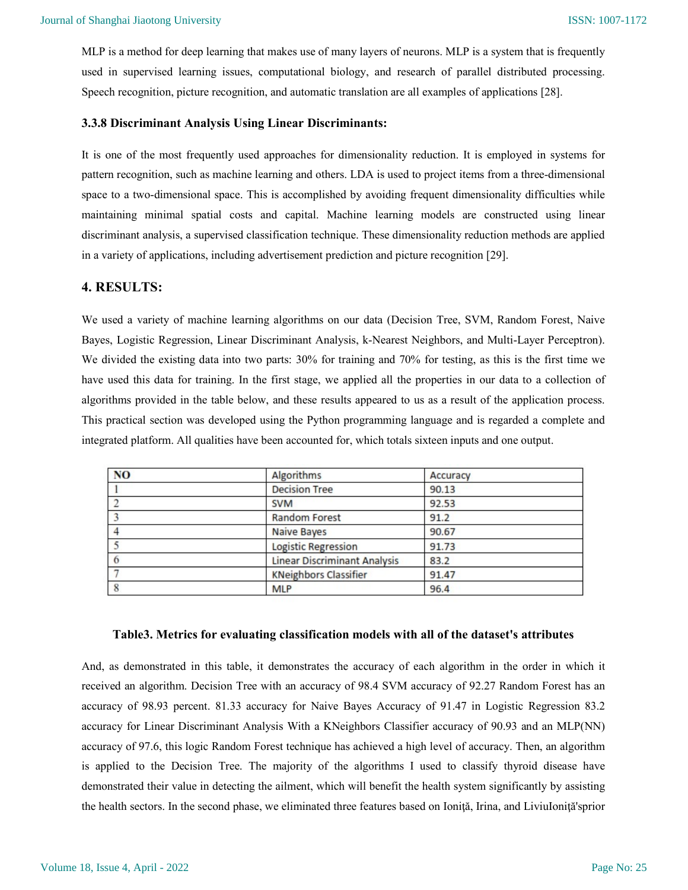MLP is a method for deep learning that makes use of many layers of neurons. MLP is a system that is frequently used in supervised learning issues, computational biology, and research of parallel distributed processing. Speech recognition, picture recognition, and automatic translation are all examples of applications [28].

#### 3.3.8 Discriminant Analysis Using Linear Discriminants:

It is one of the most frequently used approaches for dimensionality reduction. It is employed in systems for pattern recognition, such as machine learning and others. LDA is used to project items from a three-dimensional space to a two-dimensional space. This is accomplished by avoiding frequent dimensionality difficulties while maintaining minimal spatial costs and capital. Machine learning models are constructed using linear discriminant analysis, a supervised classification technique. These dimensionality reduction methods are applied in a variety of applications, including advertisement prediction and picture recognition [29].

### 4. RESULTS:

We used a variety of machine learning algorithms on our data (Decision Tree, SVM, Random Forest, Naive Bayes, Logistic Regression, Linear Discriminant Analysis, k-Nearest Neighbors, and Multi-Layer Perceptron). We divided the existing data into two parts: 30% for training and 70% for testing, as this is the first time we have used this data for training. In the first stage, we applied all the properties in our data to a collection of algorithms provided in the table below, and these results appeared to us as a result of the application process. This practical section was developed using the Python programming language and is regarded a complete and integrated platform. All qualities have been accounted for, which totals sixteen inputs and one output.

| N <sub>O</sub> | Algorithms                          | Accuracy |
|----------------|-------------------------------------|----------|
|                | <b>Decision Tree</b>                | 90.13    |
|                | <b>SVM</b>                          | 92.53    |
|                | <b>Random Forest</b>                | 91.2     |
|                | <b>Naive Bayes</b>                  | 90.67    |
|                | Logistic Regression                 | 91.73    |
|                | <b>Linear Discriminant Analysis</b> | 83.2     |
|                | <b>KNeighbors Classifier</b>        | 91.47    |
|                | <b>MLP</b>                          | 96.4     |

## Table3. Metrics for evaluating classification models with all of the dataset's attributes

And, as demonstrated in this table, it demonstrates the accuracy of each algorithm in the order in which it received an algorithm. Decision Tree with an accuracy of 98.4 SVM accuracy of 92.27 Random Forest has an accuracy of 98.93 percent. 81.33 accuracy for Naive Bayes Accuracy of 91.47 in Logistic Regression 83.2 accuracy for Linear Discriminant Analysis With a KNeighbors Classifier accuracy of 90.93 and an MLP(NN) accuracy of 97.6, this logic Random Forest technique has achieved a high level of accuracy. Then, an algorithm is applied to the Decision Tree. The majority of the algorithms I used to classify thyroid disease have demonstrated their value in detecting the ailment, which will benefit the health system significantly by assisting the health sectors. In the second phase, we eliminated three features based on Ioniţă, Irina, and LiviuIoniţă'sprior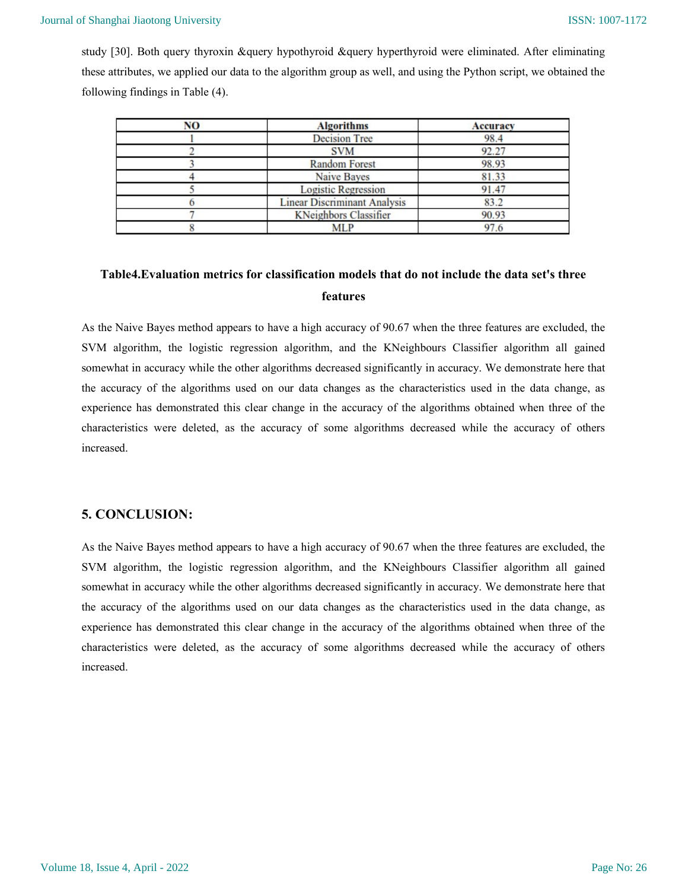study [30]. Both query thyroxin &query hypothyroid &query hyperthyroid were eliminated. After eliminating these attributes, we applied our data to the algorithm group as well, and using the Python script, we obtained the following findings in Table (4).

| NO | <b>Algorithms</b>                   | <b>Accuracy</b><br>98.4 |  |
|----|-------------------------------------|-------------------------|--|
|    | <b>Decision Tree</b>                |                         |  |
|    | <b>SVM</b>                          | 92.27                   |  |
|    | <b>Random Forest</b>                | 98.93                   |  |
|    | Naive Bayes                         | 81.33                   |  |
|    | Logistic Regression                 | 91.47                   |  |
|    | <b>Linear Discriminant Analysis</b> | 83.2                    |  |
|    | KNeighbors Classifier               | 90.93                   |  |
|    | <b>MLP</b>                          | 97.6                    |  |

# Table4.Evaluation metrics for classification models that do not include the data set's three features

As the Naive Bayes method appears to have a high accuracy of 90.67 when the three features are excluded, the SVM algorithm, the logistic regression algorithm, and the KNeighbours Classifier algorithm all gained somewhat in accuracy while the other algorithms decreased significantly in accuracy. We demonstrate here that the accuracy of the algorithms used on our data changes as the characteristics used in the data change, as experience has demonstrated this clear change in the accuracy of the algorithms obtained when three of the characteristics were deleted, as the accuracy of some algorithms decreased while the accuracy of others increased.

# 5. CONCLUSION:

As the Naive Bayes method appears to have a high accuracy of 90.67 when the three features are excluded, the SVM algorithm, the logistic regression algorithm, and the KNeighbours Classifier algorithm all gained somewhat in accuracy while the other algorithms decreased significantly in accuracy. We demonstrate here that the accuracy of the algorithms used on our data changes as the characteristics used in the data change, as experience has demonstrated this clear change in the accuracy of the algorithms obtained when three of the characteristics were deleted, as the accuracy of some algorithms decreased while the accuracy of others increased.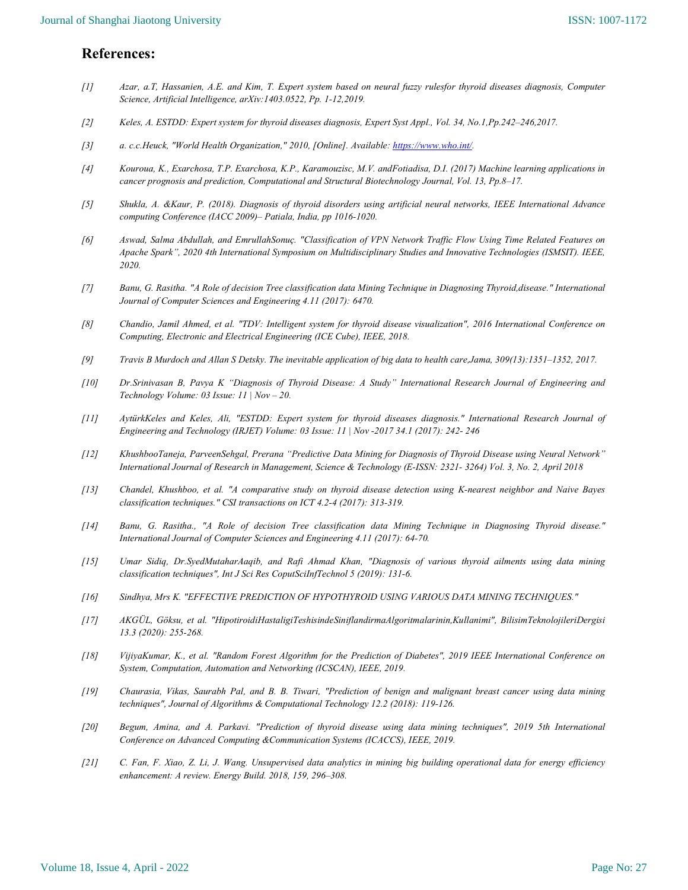# References:

- [1] Azar, a.T, Hassanien, A.E. and Kim, T. Expert system based on neural fuzzy rulesfor thyroid diseases diagnosis, Computer Science, Artificial Intelligence, arXiv:1403.0522, Pp. 1-12,2019.
- [2] Keles, A. ESTDD: Expert system for thyroid diseases diagnosis, Expert Syst Appl., Vol. 34, No.1,Pp.242–246,2017.
- [3] a. c.c.Heuck, "World Health Organization," 2010, [Online]. Available: https://www.who.int/.
- [4] Kouroua, K., Exarchosa, T.P. Exarchosa, K.P., Karamouzisc, M.V. andFotiadisa, D.I. (2017) Machine learning applications in cancer prognosis and prediction, Computational and Structural Biotechnology Journal, Vol. 13, Pp.8–17.
- [5] Shukla, A. &Kaur, P. (2018). Diagnosis of thyroid disorders using artificial neural networks, IEEE International Advance computing Conference (IACC 2009)– Patiala, India, pp 1016-1020.
- [6] Aswad, Salma Abdullah, and EmrullahSonuç. "Classification of VPN Network Traffic Flow Using Time Related Features on Apache Spark", 2020 4th International Symposium on Multidisciplinary Studies and Innovative Technologies (ISMSIT). IEEE, 2020.
- [7] Banu, G. Rasitha. "A Role of decision Tree classification data Mining Technique in Diagnosing Thyroid,disease." International Journal of Computer Sciences and Engineering 4.11 (2017): 6470.
- [8] Chandio, Jamil Ahmed, et al. "TDV: Intelligent system for thyroid disease visualization", 2016 International Conference on Computing, Electronic and Electrical Engineering (ICE Cube), IEEE, 2018.
- [9] Travis B Murdoch and Allan S Detsky. The inevitable application of big data to health care,Jama, 309(13):1351–1352, 2017.
- [10] Dr.Srinivasan B, Pavya K "Diagnosis of Thyroid Disease: A Study" International Research Journal of Engineering and Technology Volume: 03 Issue: 11 | Nov – 20.
- [11] AytürkKeles and Keles, Ali, "ESTDD: Expert system for thyroid diseases diagnosis." International Research Journal of Engineering and Technology (IRJET) Volume: 03 Issue: 11 | Nov -2017 34.1 (2017): 242- 246
- [12] KhushbooTaneja, ParveenSehgal, Prerana "Predictive Data Mining for Diagnosis of Thyroid Disease using Neural Network" International Journal of Research in Management, Science & Technology (E-ISSN: 2321- 3264) Vol. 3, No. 2, April 2018
- [13] Chandel, Khushboo, et al. "A comparative study on thyroid disease detection using K-nearest neighbor and Naive Bayes classification techniques." CSI transactions on ICT 4.2-4 (2017): 313-319.
- [14] Banu, G. Rasitha., "A Role of decision Tree classification data Mining Technique in Diagnosing Thyroid disease." International Journal of Computer Sciences and Engineering 4.11 (2017): 64-70.
- [15] Umar Sidiq, Dr.SyedMutaharAaqib, and Rafi Ahmad Khan, "Diagnosis of various thyroid ailments using data mining classification techniques", Int J Sci Res CoputSciInfTechnol 5 (2019): 131-6.
- [16] Sindhya, Mrs K. "EFFECTIVE PREDICTION OF HYPOTHYROID USING VARIOUS DATA MINING TECHNIQUES."
- [17] AKGÜL, Göksu, et al. "HipotiroidiHastaligiTeshisindeSiniflandirmaAlgoritmalarinin,Kullanimi", BilisimTeknolojileriDergisi 13.3 (2020): 255-268.
- [18] VijiyaKumar, K., et al. "Random Forest Algorithm for the Prediction of Diabetes", 2019 IEEE International Conference on System, Computation, Automation and Networking (ICSCAN), IEEE, 2019.
- [19] Chaurasia, Vikas, Saurabh Pal, and B. B. Tiwari, "Prediction of benign and malignant breast cancer using data mining techniques", Journal of Algorithms & Computational Technology 12.2 (2018): 119-126.
- [20] Begum, Amina, and A. Parkavi. "Prediction of thyroid disease using data mining techniques", 2019 5th International Conference on Advanced Computing &Communication Systems (ICACCS), IEEE, 2019.
- [21] C. Fan, F. Xiao, Z. Li, J. Wang. Unsupervised data analytics in mining big building operational data for energy efficiency enhancement: A review. Energy Build. 2018, 159, 296–308.